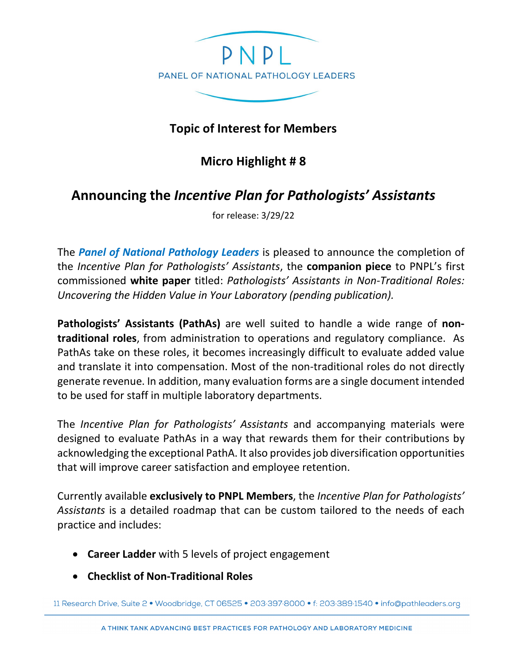

## **Topic of Interest for Members**

## **Micro Highlight # 8**

## **Announcing the** *Incentive Plan for Pathologists' Assistants*

for release: 3/29/22

The *Panel of National Pathology Leaders* is pleased to announce the completion of the *Incentive Plan for Pathologists' Assistants*, the **companion piece** to PNPL's first commissioned **white paper** titled: *Pathologists' Assistants in Non-Traditional Roles: Uncovering the Hidden Value in Your Laboratory (pending publication).* 

**Pathologists' Assistants (PathAs)** are well suited to handle a wide range of **nontraditional roles**, from administration to operations and regulatory compliance. As PathAs take on these roles, it becomes increasingly difficult to evaluate added value and translate it into compensation. Most of the non-traditional roles do not directly generate revenue. In addition, many evaluation forms are a single document intended to be used for staff in multiple laboratory departments.

The *Incentive Plan for Pathologists' Assistants* and accompanying materials were designed to evaluate PathAs in a way that rewards them for their contributions by acknowledging the exceptional PathA. It also provides job diversification opportunities that will improve career satisfaction and employee retention.

Currently available **exclusively to PNPL Members**, the *Incentive Plan for Pathologists' Assistants* is a detailed roadmap that can be custom tailored to the needs of each practice and includes:

- **Career Ladder** with 5 levels of project engagement
- **Checklist of Non-Traditional Roles**

11 Research Drive, Suite 2 · Woodbridge, CT 06525 · 203:397:8000 · f: 203:389:1540 · info@pathleaders.org